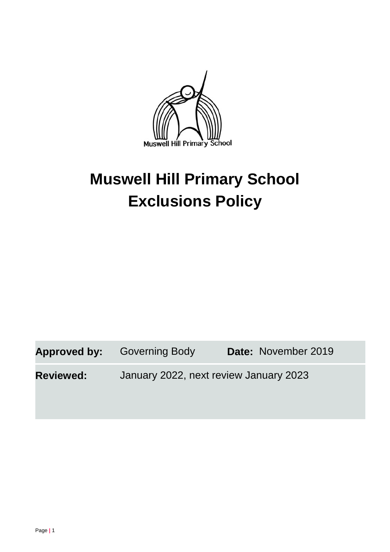

# **Muswell Hill Primary School Exclusions Policy**

Approved by: Governing Body Date: November 2019

**Reviewed:** January 2022, next review January 2023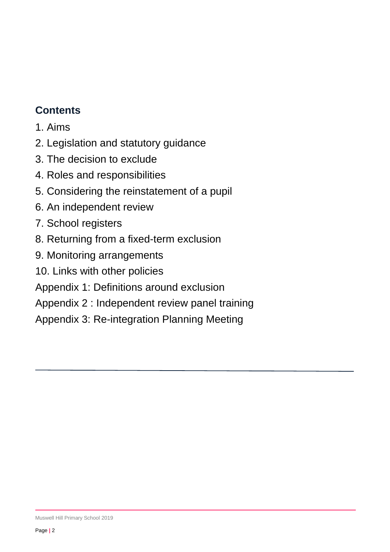# **Contents**

- 1. Aims
- 2. Legislation and statutory guidance
- 3. The decision to exclude
- 4. Roles and responsibilities
- 5. Considering the reinstatement of a pupil
- 6. An independent review
- 7. School registers
- 8. Returning from a fixed-term exclusion
- 9. Monitoring arrangements
- 10. Links with other policies
- Appendix 1: Definitions around exclusion
- Appendix 2 : Independent review panel training
- Appendix 3: Re-integration Planning Meeting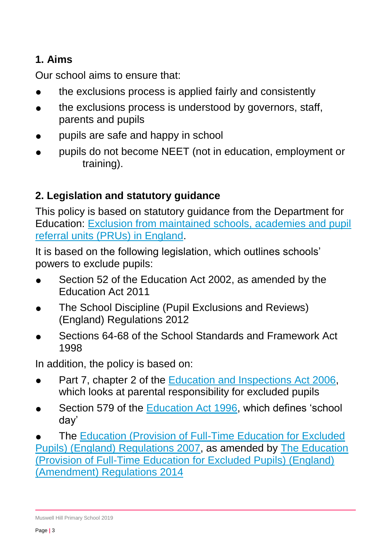# **1. Aims**

Our school aims to ensure that:

- the exclusions process is applied fairly and consistently
- the exclusions process is understood by governors, staff, parents and pupils
- pupils are safe and happy in school
- pupils do not become NEET (not in education, employment or training).

# **2. Legislation and statutory guidance**

This policy is based on statutory guidance from the Department for Education: [Exclusion from maintained schools, academies and pupil](https://www.gov.uk/government/publications/school-exclusion)  [referral units \(PRUs\) in England.](https://www.gov.uk/government/publications/school-exclusion)

It is based on the following legislation, which outlines schools' powers to exclude pupils:

- Section 52 of the [Education Act 2002,](http://www.legislation.gov.uk/ukpga/2002/32/section/52) as amended by the [Education Act 2011](http://www.legislation.gov.uk/ukpga/2011/21/contents/enacted)
- [The School Discipline \(Pupil Exclusions and Reviews\)](http://www.legislation.gov.uk/uksi/2012/1033/made)  [\(England\) Regulations 2012](http://www.legislation.gov.uk/uksi/2012/1033/made)
- Sections 64-68 of the School Standards and Framework Act [1998](http://www.legislation.gov.uk/ukpga/1998/31)

In addition, the policy is based on:

- Part 7, chapter 2 of the [Education and Inspections Act 2006,](http://www.legislation.gov.uk/ukpga/2006/40/part/7/chapter/2) which looks at parental responsibility for excluded pupils
- Section 579 of the [Education Act 1996,](http://www.legislation.gov.uk/ukpga/1996/56/section/579) which defines 'school day'

The Education (Provision of Full-Time Education for Excluded [Pupils\) \(England\) Regulations 2007,](http://www.legislation.gov.uk/uksi/2007/1870/contents/made) as amended by [The Education](http://www.legislation.gov.uk/uksi/2014/3216/contents/made)  [\(Provision of Full-Time Education for Excluded Pupils\) \(England\)](http://www.legislation.gov.uk/uksi/2014/3216/contents/made)  [\(Amendment\) Regulations 2014](http://www.legislation.gov.uk/uksi/2014/3216/contents/made)

Muswell Hill Primary School 2019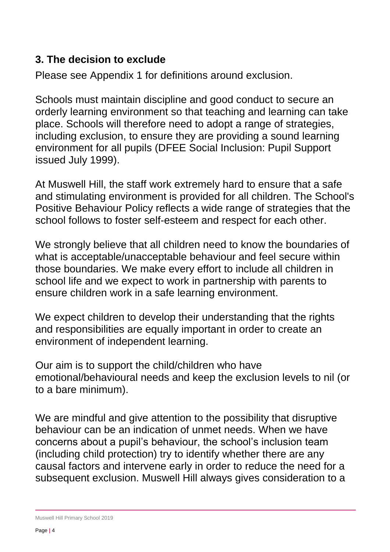#### **3. The decision to exclude**

Please see Appendix 1 for definitions around exclusion.

Schools must maintain discipline and good conduct to secure an orderly learning environment so that teaching and learning can take place. Schools will therefore need to adopt a range of strategies, including exclusion, to ensure they are providing a sound learning environment for all pupils (DFEE Social Inclusion: Pupil Support issued July 1999).

At Muswell Hill, the staff work extremely hard to ensure that a safe and stimulating environment is provided for all children. The School's Positive Behaviour Policy reflects a wide range of strategies that the school follows to foster self-esteem and respect for each other.

We strongly believe that all children need to know the boundaries of what is acceptable/unacceptable behaviour and feel secure within those boundaries. We make every effort to include all children in school life and we expect to work in partnership with parents to ensure children work in a safe learning environment.

We expect children to develop their understanding that the rights and responsibilities are equally important in order to create an environment of independent learning.

Our aim is to support the child/children who have emotional/behavioural needs and keep the exclusion levels to nil (or to a bare minimum).

We are mindful and give attention to the possibility that disruptive behaviour can be an indication of unmet needs. When we have concerns about a pupil's behaviour, the school's inclusion team (including child protection) try to identify whether there are any causal factors and intervene early in order to reduce the need for a subsequent exclusion. Muswell Hill always gives consideration to a

Muswell Hill Primary School 2019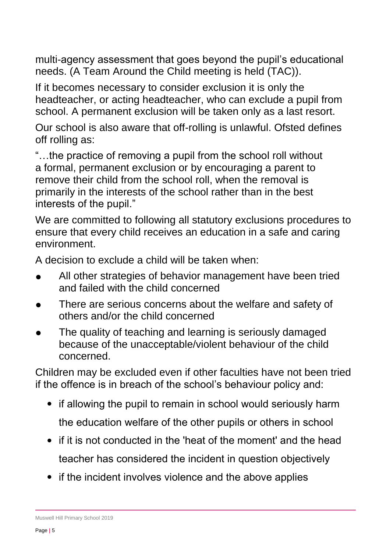multi-agency assessment that goes beyond the pupil's educational needs. (A Team Around the Child meeting is held (TAC)).

If it becomes necessary to consider exclusion it is only the headteacher, or acting headteacher, who can exclude a pupil from school. A permanent exclusion will be taken only as a last resort.

Our school is also aware that off-rolling is unlawful. Ofsted defines off rolling as:

"…the practice of removing a pupil from the school roll without a formal, permanent exclusion or by encouraging a parent to remove their child from the school roll, when the removal is primarily in the interests of the school rather than in the best interests of the pupil."

We are committed to following all statutory exclusions procedures to ensure that every child receives an education in a safe and caring environment.

A decision to exclude a child will be taken when:

- All other strategies of behavior management have been tried and failed with the child concerned
- There are serious concerns about the welfare and safety of others and/or the child concerned
- The quality of teaching and learning is seriously damaged because of the unacceptable/violent behaviour of the child concerned.

Children may be excluded even if other faculties have not been tried if the offence is in breach of the school's behaviour policy and:

- if allowing the pupil to remain in school would seriously harm the education welfare of the other pupils or others in school
- if it is not conducted in the 'heat of the moment' and the head teacher has considered the incident in question objectively
- if the incident involves violence and the above applies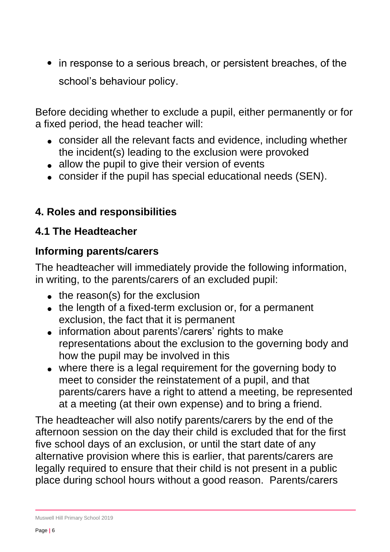• in response to a serious breach, or persistent breaches, of the school's behaviour policy.

Before deciding whether to exclude a pupil, either permanently or for a fixed period, the head teacher will:

- consider all the relevant facts and evidence, including whether the incident(s) leading to the exclusion were provoked
- allow the pupil to give their version of events
- consider if the pupil has special educational needs (SEN).

# **4. Roles and responsibilities**

# **4.1 The Headteacher**

# **Informing parents/carers**

The headteacher will immediately provide the following information, in writing, to the parents/carers of an excluded pupil:

- $\bullet$  the reason(s) for the exclusion
- the length of a fixed-term exclusion or, for a permanent exclusion, the fact that it is permanent
- information about parents'/carers' rights to make representations about the exclusion to the governing body and how the pupil may be involved in this
- where there is a legal requirement for the governing body to meet to consider the reinstatement of a pupil, and that parents/carers have a right to attend a meeting, be represented at a meeting (at their own expense) and to bring a friend.

The headteacher will also notify parents/carers by the end of the afternoon session on the day their child is excluded that for the first five school days of an exclusion, or until the start date of any alternative provision where this is earlier, that parents/carers are legally required to ensure that their child is not present in a public place during school hours without a good reason. Parents/carers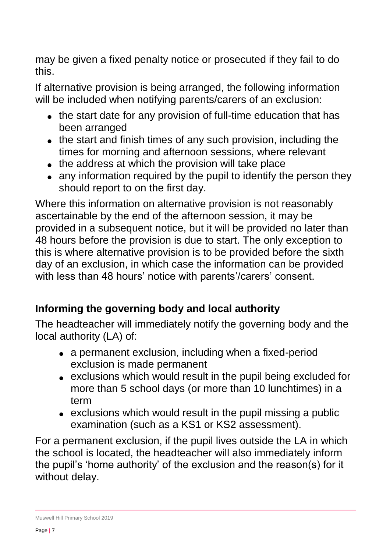may be given a fixed penalty notice or prosecuted if they fail to do this.

If alternative provision is being arranged, the following information will be included when notifying parents/carers of an exclusion:

- the start date for any provision of full-time education that has been arranged
- the start and finish times of any such provision, including the times for morning and afternoon sessions, where relevant
- the address at which the provision will take place
- any information required by the pupil to identify the person they should report to on the first day.

Where this information on alternative provision is not reasonably ascertainable by the end of the afternoon session, it may be provided in a subsequent notice, but it will be provided no later than 48 hours before the provision is due to start. The only exception to this is where alternative provision is to be provided before the sixth day of an exclusion, in which case the information can be provided with less than 48 hours' notice with parents'/carers' consent.

# **Informing the governing body and local authority**

The headteacher will immediately notify the governing body and the local authority (LA) of:

- a permanent exclusion, including when a fixed-period exclusion is made permanent
- exclusions which would result in the pupil being excluded for more than 5 school days (or more than 10 lunchtimes) in a term
- exclusions which would result in the pupil missing a public examination (such as a KS1 or KS2 assessment).

For a permanent exclusion, if the pupil lives outside the LA in which the school is located, the headteacher will also immediately inform the pupil's 'home authority' of the exclusion and the reason(s) for it without delay.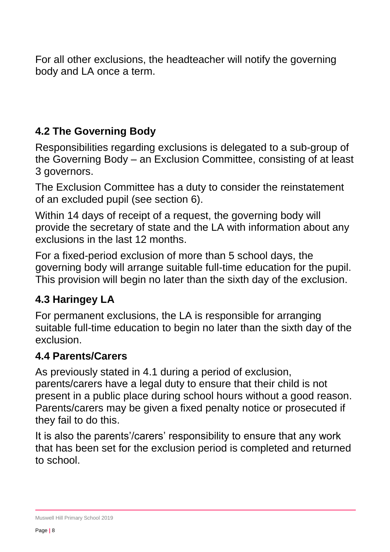For all other exclusions, the headteacher will notify the governing body and LA once a term.

# **4.2 The Governing Body**

Responsibilities regarding exclusions is delegated to a sub-group of the Governing Body – an Exclusion Committee, consisting of at least 3 governors.

The Exclusion Committee has a duty to consider the reinstatement of an excluded pupil (see section 6).

Within 14 days of receipt of a request, the governing body will provide the secretary of state and the LA with information about any exclusions in the last 12 months.

For a fixed-period exclusion of more than 5 school days, the governing body will arrange suitable full-time education for the pupil. This provision will begin no later than the sixth day of the exclusion.

# **4.3 Haringey LA**

For permanent exclusions, the LA is responsible for arranging suitable full-time education to begin no later than the sixth day of the exclusion.

# **4.4 Parents/Carers**

As previously stated in 4.1 during a period of exclusion, parents/carers have a legal duty to ensure that their child is not present in a public place during school hours without a good reason. Parents/carers may be given a fixed penalty notice or prosecuted if they fail to do this.

It is also the parents'/carers' responsibility to ensure that any work that has been set for the exclusion period is completed and returned to school.

Muswell Hill Primary School 2019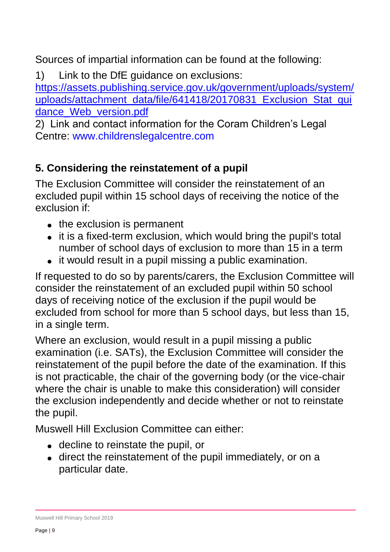Sources of impartial information can be found at the following:

1) Link to the DfE guidance on exclusions:

[https://assets.publishing.service.gov.uk/government/uploads/system/](https://assets.publishing.service.gov.uk/government/uploads/system/uploads/attachment_data/file/641418/20170831_Exclusion_Stat_guidance_Web_version.pdf) [uploads/attachment\\_data/file/641418/20170831\\_Exclusion\\_Stat\\_gui](https://assets.publishing.service.gov.uk/government/uploads/system/uploads/attachment_data/file/641418/20170831_Exclusion_Stat_guidance_Web_version.pdf) [dance\\_Web\\_version.pdf](https://assets.publishing.service.gov.uk/government/uploads/system/uploads/attachment_data/file/641418/20170831_Exclusion_Stat_guidance_Web_version.pdf)

2) Link and contact information for the Coram Children's Legal Centre: www.childrenslegalcentre.com

## **5. Considering the reinstatement of a pupil**

The Exclusion Committee will consider the reinstatement of an excluded pupil within 15 school days of receiving the notice of the exclusion if:

- the exclusion is permanent
- it is a fixed-term exclusion, which would bring the pupil's total number of school days of exclusion to more than 15 in a term
- it would result in a pupil missing a public examination.

If requested to do so by parents/carers, the Exclusion Committee will consider the reinstatement of an excluded pupil within 50 school days of receiving notice of the exclusion if the pupil would be excluded from school for more than 5 school days, but less than 15, in a single term.

Where an exclusion, would result in a pupil missing a public examination (i.e. SATs), the Exclusion Committee will consider the reinstatement of the pupil before the date of the examination. If this is not practicable, the chair of the governing body (or the vice-chair where the chair is unable to make this consideration) will consider the exclusion independently and decide whether or not to reinstate the pupil.

Muswell Hill Exclusion Committee can either:

- decline to reinstate the pupil, or
- direct the reinstatement of the pupil immediately, or on a particular date.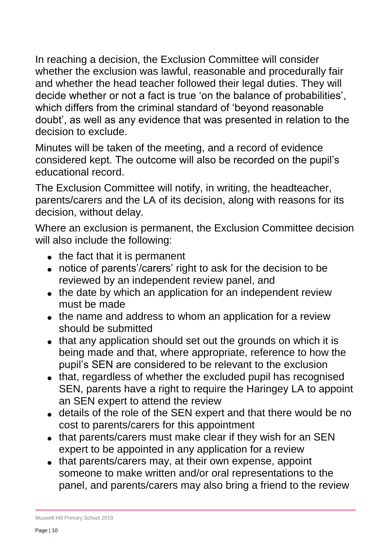In reaching a decision, the Exclusion Committee will consider whether the exclusion was lawful, reasonable and procedurally fair and whether the head teacher followed their legal duties. They will decide whether or not a fact is true 'on the balance of probabilities', which differs from the criminal standard of 'beyond reasonable doubt', as well as any evidence that was presented in relation to the decision to exclude.

Minutes will be taken of the meeting, and a record of evidence considered kept. The outcome will also be recorded on the pupil's educational record.

The Exclusion Committee will notify, in writing, the headteacher, parents/carers and the LA of its decision, along with reasons for its decision, without delay.

Where an exclusion is permanent, the Exclusion Committee decision will also include the following:

- $\bullet$  the fact that it is permanent
- notice of parents'/carers' right to ask for the decision to be reviewed by an independent review panel, and
- the date by which an application for an independent review must be made
- the name and address to whom an application for a review should be submitted
- that any application should set out the grounds on which it is being made and that, where appropriate, reference to how the pupil's SEN are considered to be relevant to the exclusion
- that, regardless of whether the excluded pupil has recognised SEN, parents have a right to require the Haringey LA to appoint an SEN expert to attend the review
- details of the role of the SEN expert and that there would be no cost to parents/carers for this appointment
- that parents/carers must make clear if they wish for an SEN expert to be appointed in any application for a review
- that parents/carers may, at their own expense, appoint someone to make written and/or oral representations to the panel, and parents/carers may also bring a friend to the review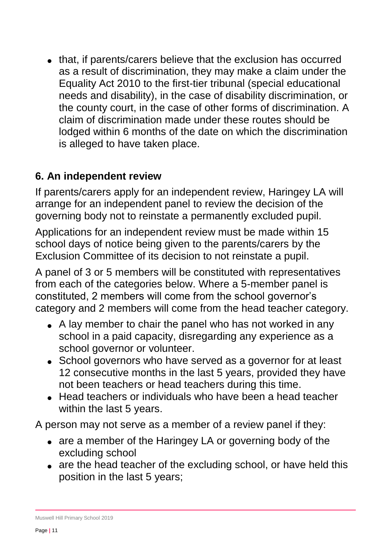• that, if parents/carers believe that the exclusion has occurred as a result of discrimination, they may make a claim under the Equality Act 2010 to the first-tier tribunal (special educational needs and disability), in the case of disability discrimination, or the county court, in the case of other forms of discrimination. A claim of discrimination made under these routes should be lodged within 6 months of the date on which the discrimination is alleged to have taken place.

#### **6. An independent review**

If parents/carers apply for an independent review, Haringey LA will arrange for an independent panel to review the decision of the governing body not to reinstate a permanently excluded pupil.

Applications for an independent review must be made within 15 school days of notice being given to the parents/carers by the Exclusion Committee of its decision to not reinstate a pupil.

A panel of 3 or 5 members will be constituted with representatives from each of the categories below. Where a 5-member panel is constituted, 2 members will come from the school governor's category and 2 members will come from the head teacher category.

- A lay member to chair the panel who has not worked in any school in a paid capacity, disregarding any experience as a school governor or volunteer.
- School governors who have served as a governor for at least 12 consecutive months in the last 5 years, provided they have not been teachers or head teachers during this time.
- Head teachers or individuals who have been a head teacher within the last 5 years.

A person may not serve as a member of a review panel if they:

- are a member of the Haringey LA or governing body of the excluding school
- are the head teacher of the excluding school, or have held this position in the last 5 years;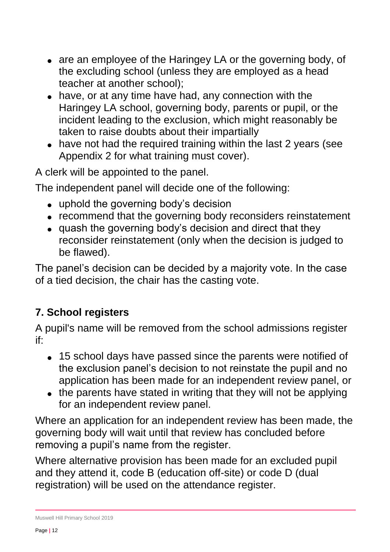- are an employee of the Haringey LA or the governing body, of the excluding school (unless they are employed as a head teacher at another school);
- have, or at any time have had, any connection with the Haringey LA school, governing body, parents or pupil, or the incident leading to the exclusion, which might reasonably be taken to raise doubts about their impartially
- have not had the required training within the last 2 years (see Appendix 2 for what training must cover).

A clerk will be appointed to the panel.

The independent panel will decide one of the following:

- uphold the governing body's decision
- recommend that the governing body reconsiders reinstatement
- quash the governing body's decision and direct that they reconsider reinstatement (only when the decision is judged to be flawed).

The panel's decision can be decided by a majority vote. In the case of a tied decision, the chair has the casting vote.

# **7. School registers**

A pupil's name will be removed from the school admissions register if:

- 15 school days have passed since the parents were notified of the exclusion panel's decision to not reinstate the pupil and no application has been made for an independent review panel, or
- the parents have stated in writing that they will not be applying for an independent review panel.

Where an application for an independent review has been made, the governing body will wait until that review has concluded before removing a pupil's name from the register.

Where alternative provision has been made for an excluded pupil and they attend it, code B (education off-site) or code D (dual registration) will be used on the attendance register.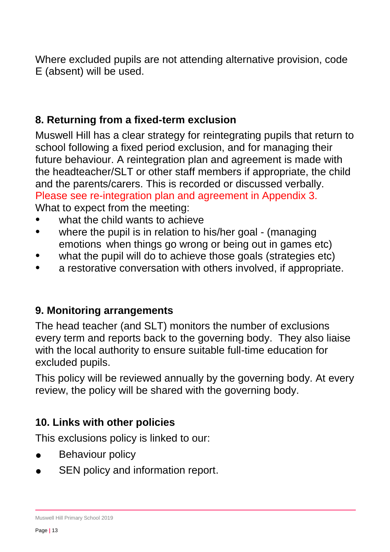Where excluded pupils are not attending alternative provision, code E (absent) will be used.

#### **8. Returning from a fixed-term exclusion**

Muswell Hill has a clear strategy for reintegrating pupils that return to school following a fixed period exclusion, and for managing their future behaviour. A reintegration plan and agreement is made with the headteacher/SLT or other staff members if appropriate, the child and the parents/carers. This is recorded or discussed verbally. Please see re-integration plan and agreement in Appendix 3. What to expect from the meeting:

- what the child wants to achieve
- where the pupil is in relation to his/her goal (managing emotions when things go wrong or being out in games etc)
- what the pupil will do to achieve those goals (strategies etc)
- a restorative conversation with others involved, if appropriate.

#### **9. Monitoring arrangements**

The head teacher (and SLT) monitors the number of exclusions every term and reports back to the governing body. They also liaise with the local authority to ensure suitable full-time education for excluded pupils.

This policy will be reviewed annually by the governing body. At every review, the policy will be shared with the governing body.

#### **10. Links with other policies**

This exclusions policy is linked to our:

- Behaviour policy
- SEN policy and information report.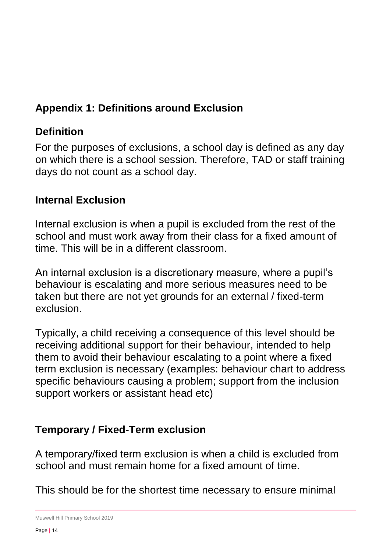# **Appendix 1: Definitions around Exclusion**

## **Definition**

For the purposes of exclusions, a school day is defined as any day on which there is a school session. Therefore, TAD or staff training days do not count as a school day.

#### **Internal Exclusion**

Internal exclusion is when a pupil is excluded from the rest of the school and must work away from their class for a fixed amount of time. This will be in a different classroom.

An internal exclusion is a discretionary measure, where a pupil's behaviour is escalating and more serious measures need to be taken but there are not yet grounds for an external / fixed-term exclusion.

Typically, a child receiving a consequence of this level should be receiving additional support for their behaviour, intended to help them to avoid their behaviour escalating to a point where a fixed term exclusion is necessary (examples: behaviour chart to address specific behaviours causing a problem; support from the inclusion support workers or assistant head etc)

#### **Temporary / Fixed-Term exclusion**

A temporary/fixed term exclusion is when a child is excluded from school and must remain home for a fixed amount of time.

This should be for the shortest time necessary to ensure minimal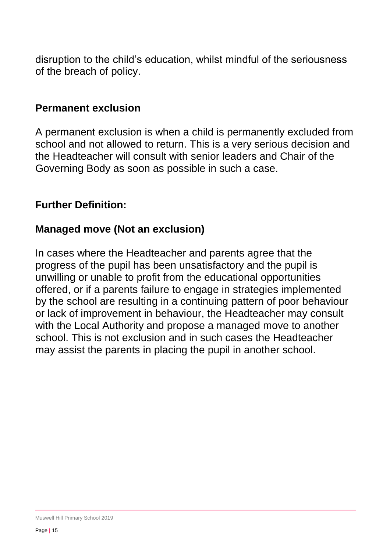disruption to the child's education, whilst mindful of the seriousness of the breach of policy.

#### **Permanent exclusion**

A permanent exclusion is when a child is permanently excluded from school and not allowed to return. This is a very serious decision and the Headteacher will consult with senior leaders and Chair of the Governing Body as soon as possible in such a case.

#### **Further Definition:**

#### **Managed move (Not an exclusion)**

In cases where the Headteacher and parents agree that the progress of the pupil has been unsatisfactory and the pupil is unwilling or unable to profit from the educational opportunities offered, or if a parents failure to engage in strategies implemented by the school are resulting in a continuing pattern of poor behaviour or lack of improvement in behaviour, the Headteacher may consult with the Local Authority and propose a managed move to another school. This is not exclusion and in such cases the Headteacher may assist the parents in placing the pupil in another school.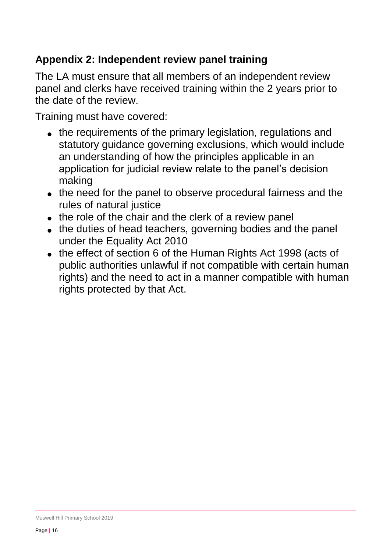# **Appendix 2: Independent review panel training**

The LA must ensure that all members of an independent review panel and clerks have received training within the 2 years prior to the date of the review.

Training must have covered:

- the requirements of the primary legislation, regulations and statutory guidance governing exclusions, which would include an understanding of how the principles applicable in an application for judicial review relate to the panel's decision making
- the need for the panel to observe procedural fairness and the rules of natural justice
- the role of the chair and the clerk of a review panel
- the duties of head teachers, governing bodies and the panel under the Equality Act 2010
- the effect of section 6 of the Human Rights Act 1998 (acts of public authorities unlawful if not compatible with certain human rights) and the need to act in a manner compatible with human rights protected by that Act.

Muswell Hill Primary School 2019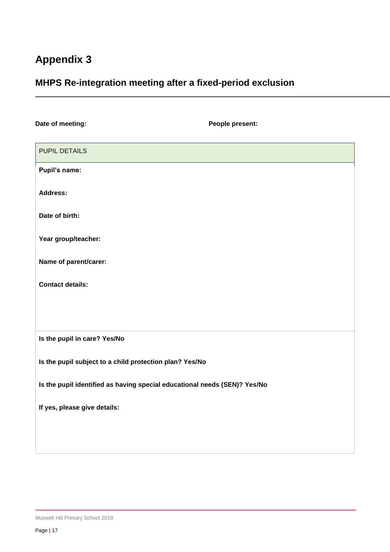# **Appendix 3**

## **MHPS Re-integration meeting after a fixed-period exclusion**

| Date of meeting:                                                          | People present: |
|---------------------------------------------------------------------------|-----------------|
| <b>PUPIL DETAILS</b>                                                      |                 |
| Pupil's name:                                                             |                 |
| <b>Address:</b>                                                           |                 |
| Date of birth:                                                            |                 |
| Year group/teacher:                                                       |                 |
| Name of parent/carer:                                                     |                 |
| <b>Contact details:</b>                                                   |                 |
|                                                                           |                 |
|                                                                           |                 |
| Is the pupil in care? Yes/No                                              |                 |
| Is the pupil subject to a child protection plan? Yes/No                   |                 |
| Is the pupil identified as having special educational needs (SEN)? Yes/No |                 |
| If yes, please give details:                                              |                 |
|                                                                           |                 |
|                                                                           |                 |

Muswell Hill Primary School 2019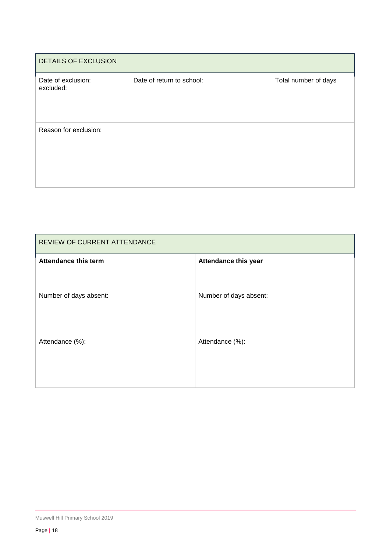| <b>DETAILS OF EXCLUSION</b>     |                           |                      |  |  |
|---------------------------------|---------------------------|----------------------|--|--|
| Date of exclusion:<br>excluded: | Date of return to school: | Total number of days |  |  |
| Reason for exclusion:           |                           |                      |  |  |

| REVIEW OF CURRENT ATTENDANCE |                             |  |
|------------------------------|-----------------------------|--|
| <b>Attendance this term</b>  | <b>Attendance this year</b> |  |
| Number of days absent:       | Number of days absent:      |  |
| Attendance (%):              | Attendance (%):             |  |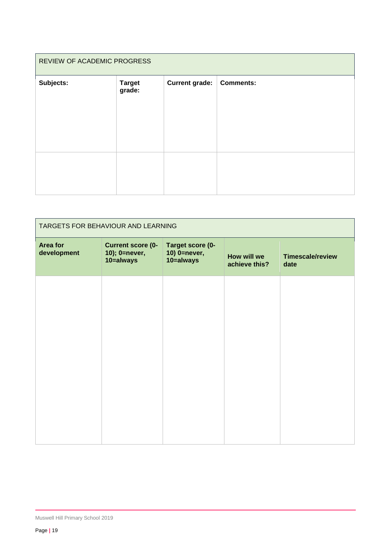| REVIEW OF ACADEMIC PROGRESS |                         |                       |                  |
|-----------------------------|-------------------------|-----------------------|------------------|
| Subjects:                   | <b>Target</b><br>grade: | <b>Current grade:</b> | <b>Comments:</b> |
|                             |                         |                       |                  |

| TARGETS FOR BEHAVIOUR AND LEARNING |                                                        |                                               |                              |                                 |
|------------------------------------|--------------------------------------------------------|-----------------------------------------------|------------------------------|---------------------------------|
| Area for<br>development            | <b>Current score (0-</b><br>10); 0=never,<br>10=always | Target score (0-<br>10) 0=never,<br>10=always | How will we<br>achieve this? | <b>Timescale/review</b><br>date |
|                                    |                                                        |                                               |                              |                                 |
|                                    |                                                        |                                               |                              |                                 |
|                                    |                                                        |                                               |                              |                                 |
|                                    |                                                        |                                               |                              |                                 |
|                                    |                                                        |                                               |                              |                                 |
|                                    |                                                        |                                               |                              |                                 |